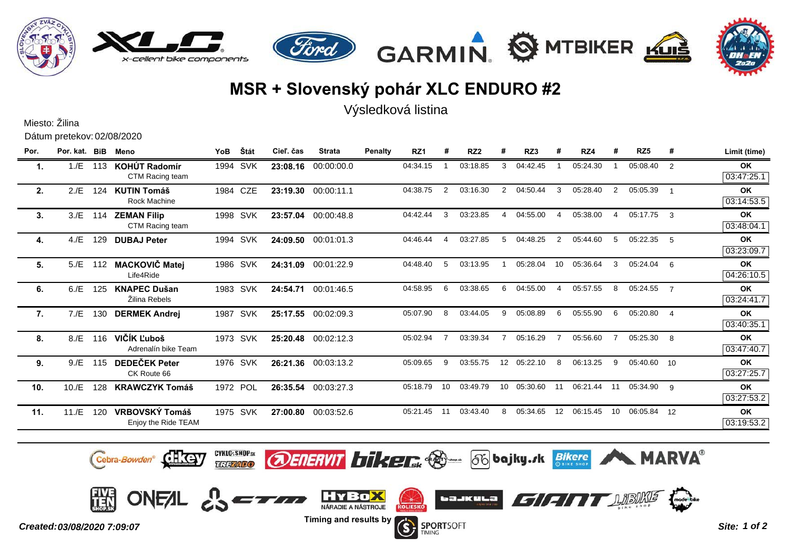

## **MSR + Slovenský pohár XLC ENDURO #2**

Výsledková listina

|                            | Miesto: Žilina |     |                                              |            |          |           |               |         |                 |                |                 |                |          |          |          |             |             |   |                         |
|----------------------------|----------------|-----|----------------------------------------------|------------|----------|-----------|---------------|---------|-----------------|----------------|-----------------|----------------|----------|----------|----------|-------------|-------------|---|-------------------------|
| Dátum pretekov: 02/08/2020 |                |     |                                              |            |          |           |               |         |                 |                |                 |                |          |          |          |             |             |   |                         |
| Por.                       | Por. kat. BiB  |     | Meno                                         | <b>YoB</b> | Štát     | Cieľ, čas | <b>Strata</b> | Penalty | RZ <sub>1</sub> | #              | RZ <sub>2</sub> | #              | RZ3      |          | RZ4      | #           | RZ5         | # | Limit (time)            |
| 1.                         | 1./E           | 113 | KOHÚT Radomír<br>CTM Racing team             | 1994       | SVK      | 23:08.16  | 00:00:00.0    |         | 04:34.15        |                | 03:18.85        | 3              | 04:42.45 |          | 05:24.30 |             | 05:08.40    | 2 | <b>OK</b><br>03:47:25.1 |
| 2.                         | 2.E            | 124 | <b>KUTIN Tomáš</b><br><b>Rock Machine</b>    |            | 1984 CZE | 23:19.30  | 00:00:11.1    |         | 04:38.75        | 2              | 03:16.30        | $\overline{2}$ | 04:50.44 | 3        | 05:28.40 | 2           | 05:05.39    |   | OK<br>03:14:53.5        |
| 3.                         | 3./E           |     | 114 ZEMAN Filip<br>CTM Racing team           |            | 1998 SVK | 23:57.04  | 00:00:48.8    |         | 04:42.44        | 3              | 03:23.85        | 4              | 04:55.00 | $\Delta$ | 05:38.00 | 4           | 05:17.75 3  |   | <b>OK</b><br>03:48:04.1 |
| 4.                         | 4./E           | 129 | <b>DUBAJ Peter</b>                           |            | 1994 SVK | 24:09.50  | 00:01:01.3    |         | 04:46.44        | Δ              | 03:27.85        | 5              | 04:48.25 | 2        | 05:44.60 | $5^{\circ}$ | 05:22.35    | 5 | <b>OK</b><br>03:23:09.7 |
| 5.                         | 5./E           | 112 | <b>MACKOVIČ Matej</b><br>Life4Ride           |            | 1986 SVK | 24:31.09  | 00:01:22.9    |         | 04:48.40        | 5              | 03:13.95        |                | 05:28.04 | 10       | 05:36.64 | 3           | 05:24.04 6  |   | <b>OK</b><br>04:26:10.5 |
| 6.                         | 6./E           | 125 | <b>KNAPEC Dušan</b><br>Žilina Rebels         |            | 1983 SVK | 24:54.71  | 00:01:46.5    |         | 04:58.95        | 6              | 03:38.65        | 6              | 04:55.00 | $\Delta$ | 05:57.55 | 8           | 05:24.55 7  |   | <b>OK</b><br>03:24:41.7 |
| 7.                         | 7./E           | 130 | <b>DERMEK Andrej</b>                         |            | 1987 SVK | 25:17.55  | 00:02:09.3    |         | 05:07.90        | 8              | 03:44.05        | 9              | 05:08.89 | 6        | 05:55.90 | 6           | 05:20.80 4  |   | OK<br>03:40:35.1        |
| 8.                         | 8./E           | 116 | VIČÍK Ľuboš<br>Adrenalín bike Team           |            | 1973 SVK | 25:20.48  | 00:02:12.3    |         | 05:02.94        | $\overline{7}$ | 03:39.34        |                | 05:16.29 |          | 05:56.60 |             | 05:25.30 8  |   | <b>OK</b><br>03:47:40.7 |
| 9.                         | 9./E           | 115 | <b>DEDEČEK Peter</b><br>CK Route 66          |            | 1976 SVK | 26:21.36  | 00:03:13.2    |         | 05:09.65        | 9              | 03:55.75        | 12             | 05:22.10 | 8        | 06:13.25 | 9           | 05:40.60 10 |   | OK<br>03:27:25.7        |
| 10.                        | 10./E          | 128 | <b>KRAWCZYK Tomáš</b>                        |            | 1972 POL | 26:35.54  | 00:03:27.3    |         | 05:18.79        | 10             | 03:49.79        | 10             | 05:30.60 | 11       | 06:21.44 | -11         | 05:34.90 9  |   | OK<br>03:27:53.2        |
| 11.                        | 11.E           | 120 | <b>VRBOVSKÝ Tomáš</b><br>Enjoy the Ride TEAM |            | 1975 SVK | 27:00.80  | 00:03:52.6    |         | 05:21.45        | 11             | 03:43.40        | 8              | 05:34.65 | 12       | 06:15.45 | 10          | 06:05.84 12 |   | <b>OK</b><br>03:19:53.2 |



Cebra-Bowden<sup>®</sup> CH3CH

GYKLG-SHOPSK **OENERVIT biker Some 56** bajky.*r*k Bikere

**MARVA®**